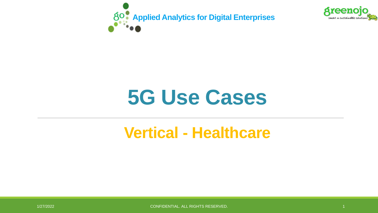



# **5G Use Cases**

### **Vertical - Healthcare**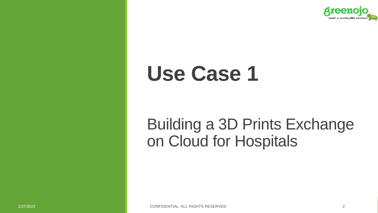

# **Use Case 1**

### Building a 3D Prints Exchange on Cloud for Hospitals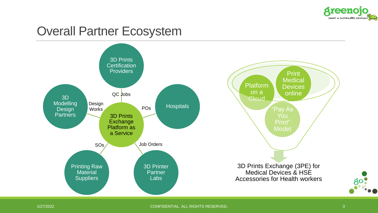

#### Overall Partner Ecosystem

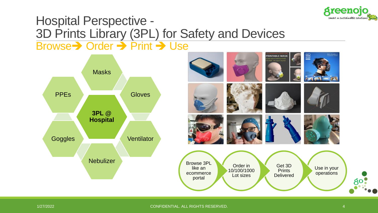

#### Hospital Perspective - 3D Prints Library (3PL) for Safety and Devices Browse➔ Order ➔ Print ➔ Use

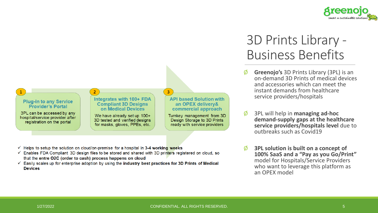

#### $\overline{2}$  $\overline{3}$ **API based Solution with** Integrates with 100+ FDA **Plug-in to any Service Compliant 3D Designs** an OPEX delivery& **Provider's Portal** on Medical Devices commercial approach 3PL can be accessed by any Turnkey management from 3D We have already set up 100+ hospital/service provider after 3D tested and verified designs Design Storage to 3D Prints registration on the portal for masks, gloves, PPEs, etc. ready with service providers

- $\checkmark$  Helps to setup the solution on cloud/on-premise for a hospital in 3-4 working weeks
- Enables FDA Compliant 3D design files to be stored and shared with 3D printers registered on cloud, so ✓ that the entre O2C (order to cash) process happens on cloud
- $\checkmark$  Easily scales up for enterprise adoption by using the industry best practices for 3D Prints of Medical **Devices**

### 3D Prints Library - Business Benefits

- Ø **Greenojo's** 3D Prints Library (3PL) is an on-demand 3D Prints of medical devices and accessories which can meet the instant demands from healthcare service providers/hospitals
- Ø 3PL will help in **managing ad-hoc demand-supply gaps at the healthcare service providers/hospitals level** due to outbreaks such as Covid19
- Ø **3PL solution is built on a concept of 100% SaaS and a "Pay as you Go/Print"**  model for Hospitals/Service Providers who want to leverage this platform as an OPEX model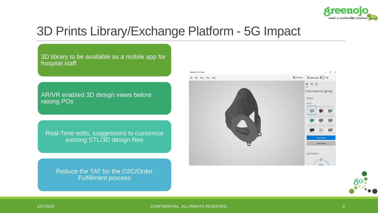

### 3D Prints Library/Exchange Platform - 5G Impact

3D library to be available as a mobile app for hospital staff

AR/VR enabled 3D design views before raising POs

Real-Time edits, suggestions to customize existing STL/3D design files

Reduce the TAT for the O2C/Order Fulfillment process



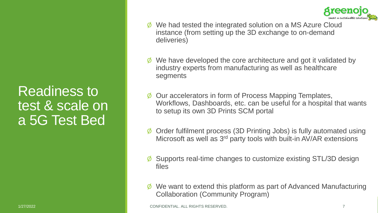

Ø We had tested the integrated solution on a MS Azure Cloud instance (from setting up the 3D exchange to on-demand deliveries)

- $\emptyset$  We have developed the core architecture and got it validated by industry experts from manufacturing as well as healthcare segments
- Our accelerators in form of Process Mapping Templates, Workflows, Dashboards, etc. can be useful for a hospital that wants to setup its own 3D Prints SCM portal
- Ø Order fulfilment process (3D Printing Jobs) is fully automated using Microsoft as well as 3rd party tools with built-in AV/AR extensions
- Ø Supports real-time changes to customize existing STL/3D design files
- We want to extend this platform as part of Advanced Manufacturing Collaboration (Community Program)

Readiness to

test & scale on

a 5G Test Bed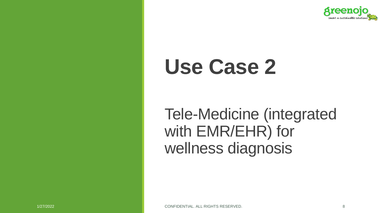

# **Use Case 2**

Tele-Medicine (integrated with EMR/EHR) for wellness diagnosis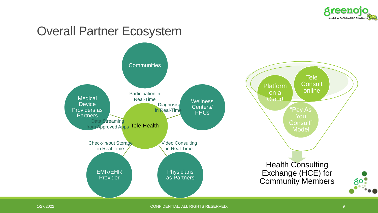

### Overall Partner Ecosystem

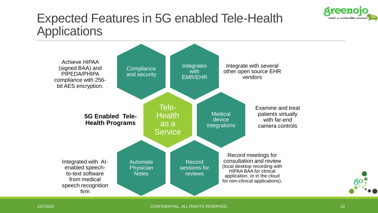

### Expected Features in 5G enabled Tele-Health **Applications**

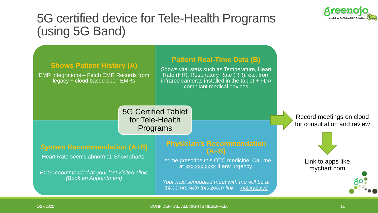

### 5G certified device for Tele-Health Programs (using 5G Band)

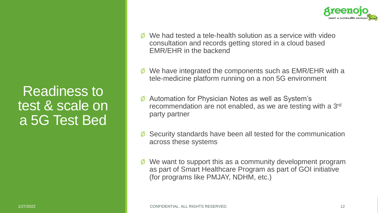Readiness to test & scale on a 5G Test Bed



- We had tested a tele-health solution as a service with video consultation and records getting stored in a cloud based EMR/EHR in the backend
- We have integrated the components such as EMR/EHR with a tele-medicine platform running on a non 5G environment
- Automation for Physician Notes as well as System's recommendation are not enabled, as we are testing with a 3rd party partner
- Ø Security standards have been all tested for the communication across these systems
- We want to support this as a community development program as part of Smart Healthcare Program as part of GOI initiative (for programs like PMJAY, NDHM, etc.)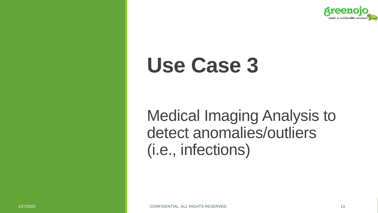

# **Use Case 3**

Medical Imaging Analysis to detect anomalies/outliers (i.e., infections)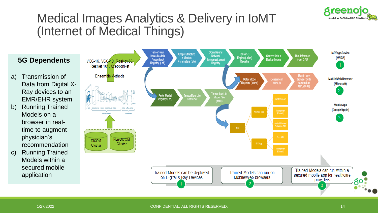

### Medical Images Analytics & Delivery in IoMT (Internet of Medical Things)

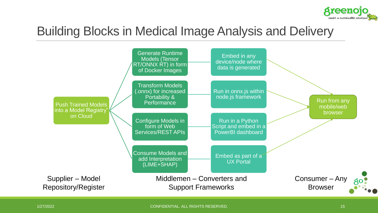

### Building Blocks in Medical Image Analysis and Delivery

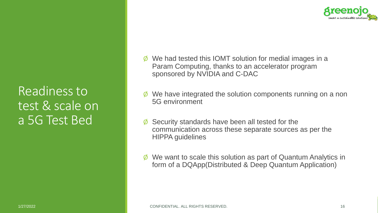

Readiness to test & scale on a 5G Test Bed

- Ø We had tested this IOMT solution for medial images in a Param Computing, thanks to an accelerator program sponsored by NVIDIA and C-DAC
- $\emptyset$  We have integrated the solution components running on a non 5G environment
- $\emptyset$  Security standards have been all tested for the communication across these separate sources as per the HIPPA guidelines
- $\emptyset$  We want to scale this solution as part of Quantum Analytics in form of a DQApp(Distributed & Deep Quantum Application)